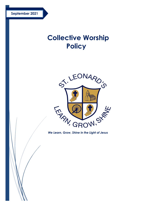# **Collective Worship Policy**



*We Learn, Grow, Shine in the Light of Jesus*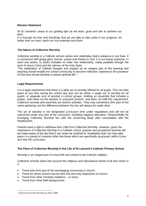## **Mission Statement**

At St Leonard's Jesus is our guiding light as we learn, grow and aim to achieve our best.

It is through his love and teachings that we are able to take pride in our progress, do better than our best, reach our true potential and shine.

## **The Nature of Collective Worship**

Collective worship in a Catholic school names and celebrates God's presence in our lives. It is concerned with giving glory, honour, praise and thanks to God. It is our loving response, in word and action, to God's invitation to enter into relationship, made possible through the work of Jesus Christ and the witness of the Holy Spirit.

'The celebration of Catholic liturgies and prayers as an integral part of the learning and teaching should enable the school community to become reflective, experience the presence of God and should develop a mature spiritual life.'<sup>1</sup>

#### **Legal Requirements**

It is a legal requirement that there is a daily act of worship offered for all pupils. This can take place at any time during the school day and can be either a single act of worship for all pupils, or separate acts of worship in school groups. Holding an assembly that includes a prayer, said either by the teacher or everyone present, and does not fulfil this requirement. Collective worship and assembly are distinct activities. They may sometimes form part of the same gathering, but the difference between the two will always be made clear.

The act of worship is not designated curriculum time under regulations and will not be subsumed under any part of the curriculum, including religious education. Responsibility for arranging Collective Worship lies with the Governing Body after consultation with the headteacher.

Parents have a right to withdraw their child from Collective Worship. However, given the importance of Collective Worship in a Catholic school, parents and prospective parents will be made aware of the fact that it can never be confined to 'timetabled slots' but may take place in a variety of contexts other that those which are specifically structured, within Come and See RE curriculum.

# **The Place of Collective Worship in the Life of St Leonard's Catholic Primary School**

Worship is an integral part of school life and central to the Catholic tradition.

Collective worship takes into account the religious and educational needs of all who share in it:

- Those who form part of the worshipping community in church;
- Those for whom school may be their first and only experience of church;
- Those from other Christian traditions or none;
- Those from other faith backgrounds.

 $\overline{a}$ 

<sup>1</sup> Christ at the Centre Rev Marcus Stock, 2005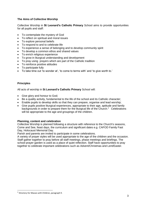# **The Aims of Collective Worship**

Collective Worship in **St Leonard's Catholic Primary** School aims to provide opportunities for all pupils and staff:

- To contemplate the mystery of God
- To reflect on spiritual and moral issues
- To explore personal beliefs
- To respond to and to celebrate life
- To experience a sense of belonging and to develop community spirit
- To develop a common ethos and shared values
- To enrich religious experience
- To grow in liturgical understanding and development
- To pray using prayers which are part of the Catholic tradition
- To reinforce positive attitudes
- To participate fully
- To take time out 'to wonder at', 'to come to terms with' and 'to give worth to.'

# **Principles**

All acts of worship in **St Leonard's Catholic Primary** School will:

- Give glory and honour to God;
- Be a quality activity, fundamental to the life of the school and its Catholic character;
- Enable pupils to develop skills so that they can prepare, organise and lead worship;
- Give pupils positive liturgical experiences, appropriate to their age, aptitude and family backgrounds in order to prepare them for the liturgical life of the Church.<sup>2</sup> Celebrations will be appropriate to the age and groupings of the children.

# **Planning, content and celebration**

Collective Worship is planned following a structure with reference to the Church's seasons, Come and See, feast days, the curriculum and significant dates e.g. CAFOD Family Fast Day, Holocaust Memorial Day.

Parish and parents are invited to participate in some celebrations.

A variety of prayer styles will be used appropriate to the age of the children and the occasion. Staff gather together to pray before all staff meetings, phase meetings and briefings. The school prayer garden is used as a place of quiet reflection. Staff have opportunities to pray together to celebrate important celebrations such as Advent/Christmas and Lent/Easter.

l

<sup>2</sup> Directory for Masses with Children, paragraph 9.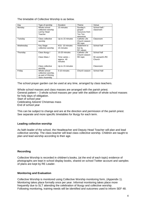The timetable of Collective Worship is as below.

| Day       | Type of worship                                                                    | <b>Duration</b>                        | Theme                          | Venue                     |
|-----------|------------------------------------------------------------------------------------|----------------------------------------|--------------------------------|---------------------------|
| Monday    | Whole school                                                                       | 15 minutes                             | Sunday's                       | School hall /             |
|           | collective worship                                                                 |                                        | gospel-                        | classroom                 |
|           | Led by Head                                                                        |                                        | resources from                 |                           |
|           | Teacher                                                                            |                                        | Ten Ten                        |                           |
|           |                                                                                    |                                        | resources                      |                           |
| Tuesday   | Class collective                                                                   | Up to 15 minutes                       | Catholic Life                  | Classroom                 |
|           | worship                                                                            |                                        | Church season                  |                           |
|           |                                                                                    |                                        | RE topic                       |                           |
| Wednesday | Key Stage                                                                          | KS1-10 minutes                         | Statement to                   | School hall               |
|           | collective worship                                                                 | 15 minutes                             | live by                        |                           |
|           |                                                                                    |                                        | <b>RC</b> values               |                           |
| Thursday  | Class liturgy /                                                                    | 15-20 minutes                          | Catholic Life<br>Church season | School hall               |
|           | Class Mass /                                                                       | Time varies –<br>approx. 40<br>minutes | RE topic                       | St Leonard's RC<br>Church |
|           | Class collective<br>worship                                                        | Up to 15 minutes                       |                                | Classroom                 |
| Friday    | Whole school<br>collective worship,<br>as part of Shining<br><b>Stars Assembly</b> | 5-10 minutes                           | Church season                  | School Hall               |

The school prayer garden can be used at any time, arranged by class teachers.

Whole school masses and class masses are arranged with the parish priest. General pattern – 3 whole school masses per year with the addition of whole school masses for holy days of obligation. Start of school year Celebrating Advent/ Christmas mass End of school year

This can be subject to change and are at the direction and permission of the parish priest. See separate and more specific timetables for liturgy for each term.

# **Leading collective worship**

As faith leader of the school, the Headteacher and Deputy Head Teacher will plan and lead collective worship. The class teacher will lead class collective worship. Children are taught to plan and lead worship according to their age.

# **Recording**

Collective Worship is recorded in children's books, (at the end of each topic) evidence of photographs are kept in school display books, shared on school Twitter account and samples of plans are kept by RE Leader.

# **Monitoring and Evaluation**

Collective Worship is monitored using Collective Worship monitoring form, (Appendix 1). Monitoring takes place formally once per year. Informal monitoring takes place more frequently due to SLT attending the celebration of liturgy and collective worship. Following monitoring, training needs will be identified and outcomes used to inform SEF 48.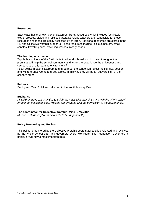#### **Resources**

Each class has their own box of classroom liturgy resources which includes focal table cloths, crosses, bibles and religious artefacts. Class teachers are responsible for these resources and these are easily accessed by children. Additional resources are stored in the RE and Collective worship cupboard. These resources include religious posters, small candles, travelling cribs, travelling crosses, rosary beads.

#### **The learning environment**

'Symbols and icons of the Catholic faith when displayed in school and throughout its premises will help the school community and visitors to experience the uniqueness and sacredness of this learning environment<sup>'3</sup>

Focal points in each classroom and throughout the school will reflect the liturgical season and will reference Come and See topics. In this way they will be an outward sign of the school's ethos.

#### **Retreats**

Each year, Year 6 children take part in the Youth Ministry Event.

#### **Eucharist**

*All children have opportunities to celebrate mass with their class and with the whole school throughout the school year. Masses are arranged with the permission of the parish priest.* 

# **The coordinator for Collective Worship: Miss F. McVittie**

*(A model job description is also included in Appendix 2.)*

# **Policy Monitoring and Review**

This policy is monitored by the Collective Worship coordinator and is evaluated and reviewed by the whole school staff and governors every two years. The Foundation Governors in particular will play a most important role.

 $\overline{a}$ 

<sup>3</sup> Christ at the Centre Rev Marcus Stock, 2005